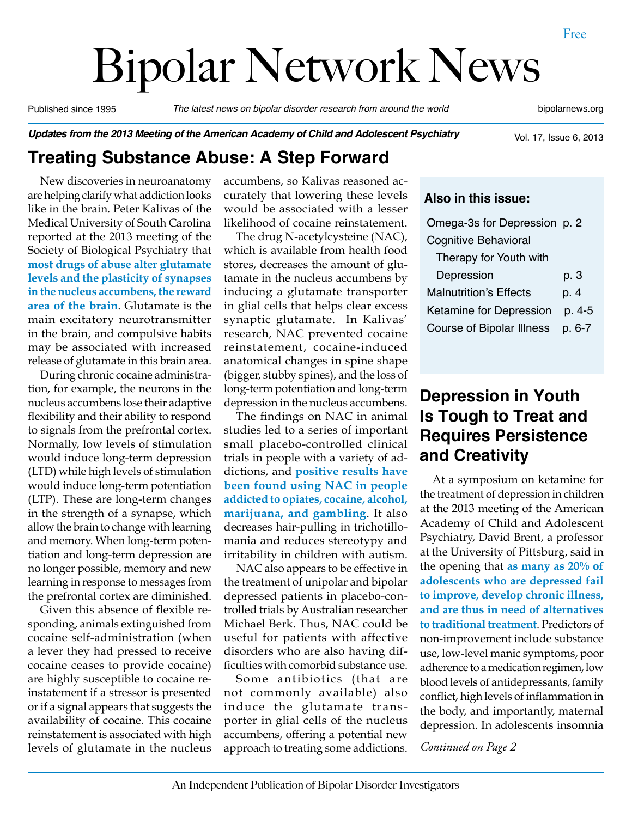# Bipolar Network News

Published since 1995 *The latest news on bipolar disorder research from around the world* bipolarnews.org

*Updates from the 2013 Meeting of the American Academy of Child and Adolescent Psychiatry*

Vol. 17, Issue 6, 2013

# **Treating Substance Abuse: A Step Forward**

New discoveries in neuroanatomy are helping clarify what addiction looks like in the brain. Peter Kalivas of the Medical University of South Carolina reported at the 2013 meeting of the Society of Biological Psychiatry that **most drugs of abuse alter glutamate levels and the plasticity of synapses in the nucleus accumbens, the reward area of the brain**. Glutamate is the main excitatory neurotransmitter in the brain, and compulsive habits may be associated with increased release of glutamate in this brain area.

During chronic cocaine administration, for example, the neurons in the nucleus accumbens lose their adaptive flexibility and their ability to respond to signals from the prefrontal cortex. Normally, low levels of stimulation would induce long-term depression (LTD) while high levels of stimulation would induce long-term potentiation (LTP). These are long-term changes in the strength of a synapse, which allow the brain to change with learning and memory. When long-term potentiation and long-term depression are no longer possible, memory and new learning in response to messages from the prefrontal cortex are diminished.

Given this absence of flexible responding, animals extinguished from cocaine self-administration (when a lever they had pressed to receive cocaine ceases to provide cocaine) are highly susceptible to cocaine reinstatement if a stressor is presented or if a signal appears that suggests the availability of cocaine. This cocaine reinstatement is associated with high levels of glutamate in the nucleus

accumbens, so Kalivas reasoned accurately that lowering these levels would be associated with a lesser likelihood of cocaine reinstatement.

The drug N-acetylcysteine (NAC), which is available from health food stores, decreases the amount of glutamate in the nucleus accumbens by inducing a glutamate transporter in glial cells that helps clear excess synaptic glutamate. In Kalivas' research, NAC prevented cocaine reinstatement, cocaine-induced anatomical changes in spine shape (bigger, stubby spines), and the loss of long-term potentiation and long-term depression in the nucleus accumbens.

The findings on NAC in animal studies led to a series of important small placebo-controlled clinical trials in people with a variety of addictions, and **positive results have been found using NAC in people addicted to opiates, cocaine, alcohol, marijuana, and gambling**. It also decreases hair-pulling in trichotillomania and reduces stereotypy and irritability in children with autism.

NAC also appears to be effective in the treatment of unipolar and bipolar depressed patients in placebo-controlled trials by Australian researcher Michael Berk. Thus, NAC could be useful for patients with affective disorders who are also having difficulties with comorbid substance use.

Some antibiotics (that are not commonly available) also induce the glutamate transporter in glial cells of the nucleus accumbens, offering a potential new approach to treating some addictions.

#### **Also in this issue:**

| Omega-3s for Depression p. 2     |        |
|----------------------------------|--------|
| <b>Cognitive Behavioral</b>      |        |
| Therapy for Youth with           |        |
| Depression                       | p. 3   |
| <b>Malnutrition's Effects</b>    | p. 4   |
| <b>Ketamine for Depression</b>   | p. 4-5 |
| <b>Course of Bipolar Illness</b> | p. 6-7 |

# **Depression in Youth Is Tough to Treat and Requires Persistence and Creativity**

At a symposium on ketamine for the treatment of depression in children at the 2013 meeting of the American Academy of Child and Adolescent Psychiatry, David Brent, a professor at the University of Pittsburg, said in the opening that **as many as 20% of adolescents who are depressed fail to improve, develop chronic illness, and are thus in need of alternatives to traditional treatment**. Predictors of non-improvement include substance use, low-level manic symptoms, poor adherence to a medication regimen, low blood levels of antidepressants, family conflict, high levels of inflammation in the body, and importantly, maternal depression. In adolescents insomnia

*Continued on Page 2*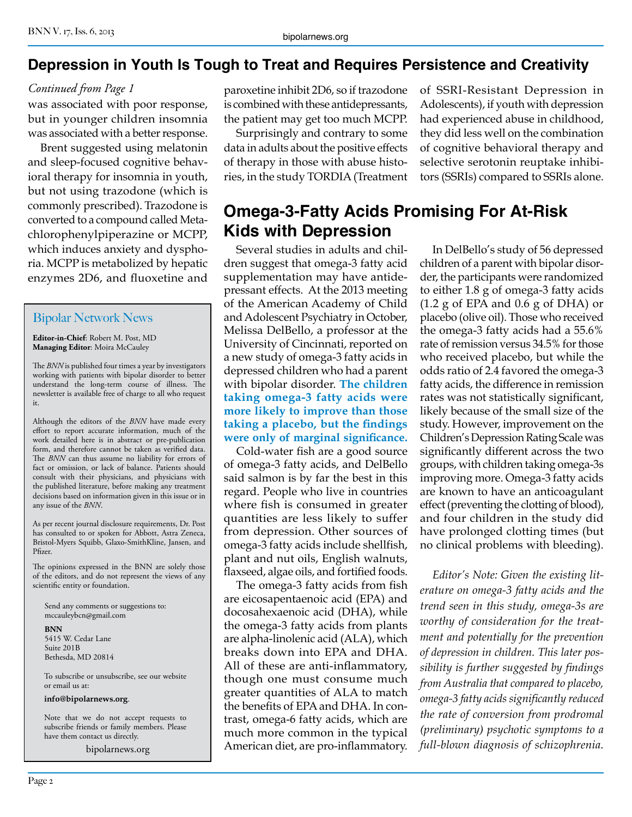#### **Depression in Youth Is Tough to Treat and Requires Persistence and Creativity**

#### *Continued from Page 1*

was associated with poor response, but in younger children insomnia was associated with a better response.

Brent suggested using melatonin and sleep-focused cognitive behavioral therapy for insomnia in youth, but not using trazodone (which is commonly prescribed). Trazodone is converted to a compound called Metachlorophenylpiperazine or MCPP, which induces anxiety and dysphoria. MCPP is metabolized by hepatic enzymes 2D6, and fluoxetine and

#### Bipolar Network News

**Editor-in-Chief**: Robert M. Post, MD **Managing Editor**: Moira McCauley

The *BNN* is published four times a year by investigators working with patients with bipolar disorder to better understand the long-term course of illness. The newsletter is available free of charge to all who request it.

Although the editors of the *BNN* have made every effort to report accurate information, much of the work detailed here is in abstract or pre-publication form, and therefore cannot be taken as verified data. The *BNN* can thus assume no liability for errors of fact or omission, or lack of balance. Patients should consult with their physicians, and physicians with the published literature, before making any treatment decisions based on information given in this issue or in any issue of the *BNN*.

As per recent journal disclosure requirements, Dr. Post has consulted to or spoken for Abbott, Astra Zeneca, Bristol-Myers Squibb, Glaxo-SmithKline, Jansen, and Pfizer.

The opinions expressed in the BNN are solely those of the editors, and do not represent the views of any scientific entity or foundation.

Send any comments or suggestions to: mccauleybcn@gmail.com

**BNN** 5415 W. Cedar Lane Suite 201B Bethesda, MD 20814

To subscribe or unsubscribe, see our website or email us at:

**info@bipolarnews.org**.

Note that we do not accept requests to subscribe friends or family members. Please have them contact us directly.

bipolarnews.org

paroxetine inhibit 2D6, so if trazodone is combined with these antidepressants, the patient may get too much MCPP.

Surprisingly and contrary to some data in adults about the positive effects of therapy in those with abuse histories, in the study TORDIA (Treatment

# **Omega-3-Fatty Acids Promising For At-Risk Kids with Depression**

Several studies in adults and children suggest that omega-3 fatty acid supplementation may have antidepressant effects. At the 2013 meeting of the American Academy of Child and Adolescent Psychiatry in October, Melissa DelBello, a professor at the University of Cincinnati, reported on a new study of omega-3 fatty acids in depressed children who had a parent with bipolar disorder. **The children taking omega-3 fatty acids were more likely to improve than those taking a placebo, but the findings were only of marginal significance.**

Cold-water fish are a good source of omega-3 fatty acids, and DelBello said salmon is by far the best in this regard. People who live in countries where fish is consumed in greater quantities are less likely to suffer from depression. Other sources of omega-3 fatty acids include shellfish, plant and nut oils, English walnuts, flaxseed, algae oils, and fortified foods.

The omega-3 fatty acids from fish are eicosapentaenoic acid (EPA) and docosahexaenoic acid (DHA), while the omega-3 fatty acids from plants are alpha-linolenic acid (ALA), which breaks down into EPA and DHA. All of these are anti-inflammatory, though one must consume much greater quantities of ALA to match the benefits of EPA and DHA. In contrast, omega-6 fatty acids, which are much more common in the typical American diet, are pro-inflammatory. of SSRI-Resistant Depression in Adolescents), if youth with depression had experienced abuse in childhood, they did less well on the combination of cognitive behavioral therapy and selective serotonin reuptake inhibitors (SSRIs) compared to SSRIs alone.

In DelBello's study of 56 depressed children of a parent with bipolar disorder, the participants were randomized to either 1.8 g of omega-3 fatty acids (1.2 g of EPA and 0.6 g of DHA) or placebo (olive oil). Those who received the omega-3 fatty acids had a 55.6% rate of remission versus 34.5% for those who received placebo, but while the odds ratio of 2.4 favored the omega-3 fatty acids, the difference in remission rates was not statistically significant, likely because of the small size of the study. However, improvement on the Children's Depression Rating Scale was significantly different across the two groups, with children taking omega-3s improving more. Omega-3 fatty acids are known to have an anticoagulant effect (preventing the clotting of blood), and four children in the study did have prolonged clotting times (but no clinical problems with bleeding).

*Editor's Note: Given the existing literature on omega-3 fatty acids and the trend seen in this study, omega-3s are worthy of consideration for the treatment and potentially for the prevention of depression in children. This later possibility is further suggested by findings from Australia that compared to placebo, omega-3 fatty acids significantly reduced the rate of conversion from prodromal (preliminary) psychotic symptoms to a full-blown diagnosis of schizophrenia.*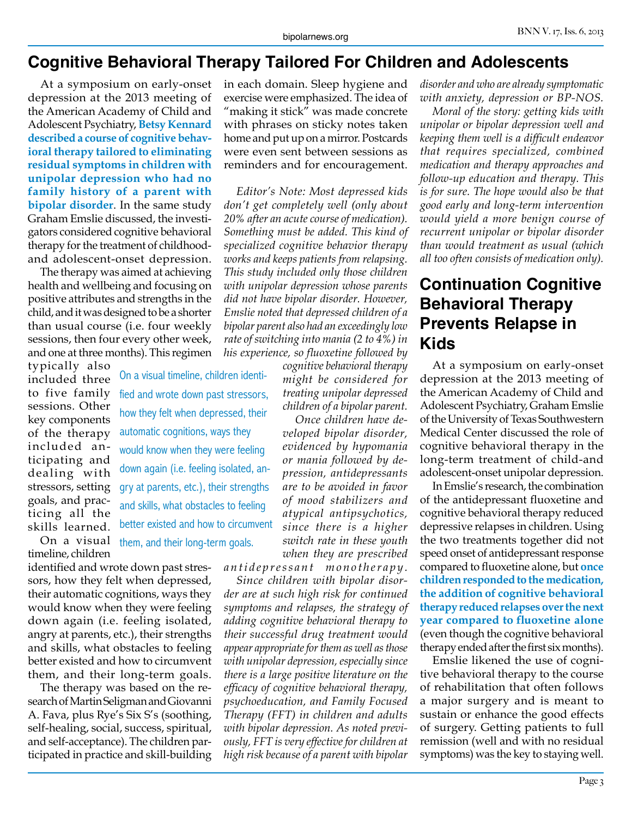#### **Cognitive Behavioral Therapy Tailored For Children and Adolescents**

At a symposium on early-onset depression at the 2013 meeting of the American Academy of Child and Adolescent Psychiatry, **Betsy Kennard described a course of cognitive behavioral therapy tailored to eliminating residual symptoms in children with unipolar depression who had no family history of a parent with bipolar disorder**. In the same study Graham Emslie discussed, the investigators considered cognitive behavioral therapy for the treatment of childhoodand adolescent-onset depression.

The therapy was aimed at achieving health and wellbeing and focusing on positive attributes and strengths in the child, and it was designed to be a shorter than usual course (i.e. four weekly sessions, then four every other week, and one at three months). This regimen

> On a visual timeline, children identified and wrote down past stressors, how they felt when depressed, their automatic cognitions, ways they would know when they were feeling down again (i.e. feeling isolated, angry at parents, etc.), their strengths and skills, what obstacles to feeling better existed and how to circumvent

them, and their long-term goals.

typically also included three to five family sessions. Other key components of the therapy included anticipating and dealing with stressors, setting goals, and practicing all the skills learned. On a visual

timeline, children

identified and wrote down past stressors, how they felt when depressed, their automatic cognitions, ways they would know when they were feeling down again (i.e. feeling isolated, angry at parents, etc.), their strengths and skills, what obstacles to feeling better existed and how to circumvent them, and their long-term goals.

The therapy was based on the research of Martin Seligman and Giovanni A. Fava, plus Rye's Six S's (soothing, self-healing, social, success, spiritual, and self-acceptance). The children participated in practice and skill-building in each domain. Sleep hygiene and exercise were emphasized. The idea of "making it stick" was made concrete with phrases on sticky notes taken home and put up on a mirror. Postcards were even sent between sessions as reminders and for encouragement.

*Editor's Note: Most depressed kids don't get completely well (only about 20% after an acute course of medication). Something must be added. This kind of specialized cognitive behavior therapy works and keeps patients from relapsing. This study included only those children with unipolar depression whose parents did not have bipolar disorder. However, Emslie noted that depressed children of a bipolar parent also had an exceedingly low rate of switching into mania (2 to 4%) in his experience, so fluoxetine followed by* 

*cognitive behavioral therapy might be considered for treating unipolar depressed children of a bipolar parent.*

*Once children have developed bipolar disorder, evidenced by hypomania or mania followed by depression, antidepressants are to be avoided in favor of mood stabilizers and atypical antipsychotics, since there is a higher switch rate in these youth when they are prescribed* 

*antidepressant monotherapy.*

*Since children with bipolar disorder are at such high risk for continued symptoms and relapses, the strategy of adding cognitive behavioral therapy to their successful drug treatment would appear appropriate for them as well as those with unipolar depression, especially since there is a large positive literature on the efficacy of cognitive behavioral therapy, psychoeducation, and Family Focused Therapy (FFT) in children and adults with bipolar depression. As noted previously, FFT is very effective for children at high risk because of a parent with bipolar* 

*disorder and who are already symptomatic with anxiety, depression or BP-NOS.*

*Moral of the story: getting kids with unipolar or bipolar depression well and keeping them well is a difficult endeavor that requires specialized, combined medication and therapy approaches and follow-up education and therapy. This is for sure. The hope would also be that good early and long-term intervention would yield a more benign course of recurrent unipolar or bipolar disorder than would treatment as usual (which all too often consists of medication only).*

### **Continuation Cognitive Behavioral Therapy Prevents Relapse in Kids**

At a symposium on early-onset depression at the 2013 meeting of the American Academy of Child and Adolescent Psychiatry, Graham Emslie of the University of Texas Southwestern Medical Center discussed the role of cognitive behavioral therapy in the long-term treatment of child-and adolescent-onset unipolar depression.

In Emslie's research, the combination of the antidepressant fluoxetine and cognitive behavioral therapy reduced depressive relapses in children. Using the two treatments together did not speed onset of antidepressant response compared to fluoxetine alone, but **once children responded to the medication, the addition of cognitive behavioral therapy reduced relapses over the next year compared to fluoxetine alone**  (even though the cognitive behavioral therapy ended after the first six months).

Emslie likened the use of cognitive behavioral therapy to the course of rehabilitation that often follows a major surgery and is meant to sustain or enhance the good effects of surgery. Getting patients to full remission (well and with no residual symptoms) was the key to staying well.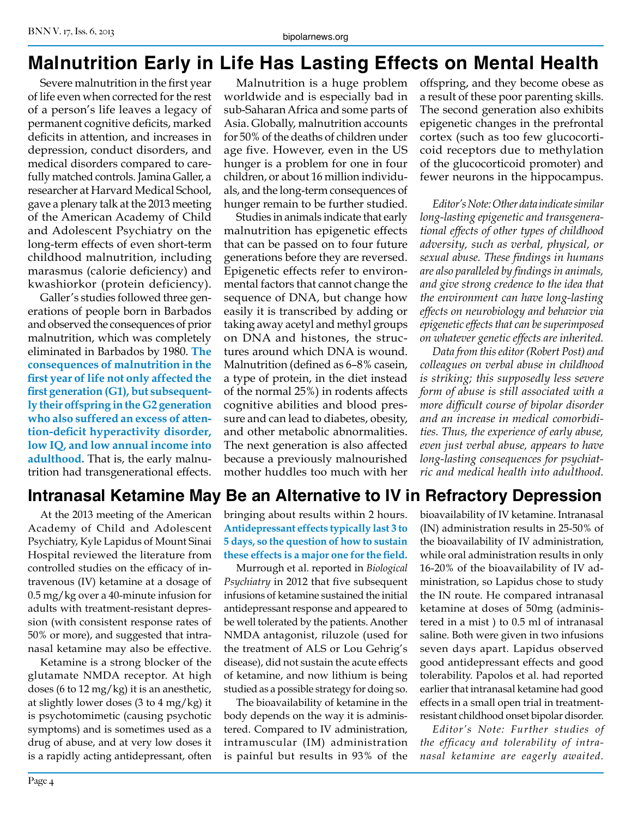# **Malnutrition Early in Life Has Lasting Effects on Mental Health**

Severe malnutrition in the first year of life even when corrected for the rest of a person's life leaves a legacy of permanent cognitive deficits, marked deficits in attention, and increases in depression, conduct disorders, and medical disorders compared to carefully matched controls. Jamina Galler, a researcher at Harvard Medical School, gave a plenary talk at the 2013 meeting of the American Academy of Child and Adolescent Psychiatry on the long-term effects of even short-term childhood malnutrition, including marasmus (calorie deficiency) and kwashiorkor (protein deficiency).

Galler's studies followed three generations of people born in Barbados and observed the consequences of prior malnutrition, which was completely eliminated in Barbados by 1980. **The consequences of malnutrition in the first year of life not only affected the first generation (G1), but subsequently their offspring in the G2 generation who also suffered an excess of attention-deficit hyperactivity disorder, low IQ, and low annual income into adulthood.** That is, the early malnutrition had transgenerational effects.

Malnutrition is a huge problem worldwide and is especially bad in sub-Saharan Africa and some parts of Asia. Globally, malnutrition accounts for 50% of the deaths of children under age five. However, even in the US hunger is a problem for one in four children, or about 16 million individuals, and the long-term consequences of hunger remain to be further studied.

Studies in animals indicate that early malnutrition has epigenetic effects that can be passed on to four future generations before they are reversed. Epigenetic effects refer to environmental factors that cannot change the sequence of DNA, but change how easily it is transcribed by adding or taking away acetyl and methyl groups on DNA and histones, the structures around which DNA is wound. Malnutrition (defined as 6–8% casein, a type of protein, in the diet instead of the normal 25%) in rodents affects cognitive abilities and blood pressure and can lead to diabetes, obesity, and other metabolic abnormalities. The next generation is also affected because a previously malnourished mother huddles too much with her offspring, and they become obese as a result of these poor parenting skills. The second generation also exhibits epigenetic changes in the prefrontal cortex (such as too few glucocorticoid receptors due to methylation of the glucocorticoid promoter) and fewer neurons in the hippocampus.

*Editor's Note: Other data indicate similar long-lasting epigenetic and transgenerational effects of other types of childhood adversity, such as verbal, physical, or sexual abuse. These findings in humans are also paralleled by findings in animals, and give strong credence to the idea that the environment can have long-lasting effects on neurobiology and behavior via epigenetic effects that can be superimposed on whatever genetic effects are inherited.*

*Data from this editor (Robert Post) and colleagues on verbal abuse in childhood is striking; this supposedly less severe form of abuse is still associated with a more difficult course of bipolar disorder and an increase in medical comorbidities. Thus, the experience of early abuse, even just verbal abuse, appears to have long-lasting consequences for psychiatric and medical health into adulthood.*

# **Intranasal Ketamine May Be an Alternative to IV in Refractory Depression**

At the 2013 meeting of the American Academy of Child and Adolescent Psychiatry, Kyle Lapidus of Mount Sinai Hospital reviewed the literature from controlled studies on the efficacy of intravenous (IV) ketamine at a dosage of 0.5 mg/kg over a 40-minute infusion for adults with treatment-resistant depression (with consistent response rates of 50% or more), and suggested that intranasal ketamine may also be effective.

Ketamine is a strong blocker of the glutamate NMDA receptor. At high doses (6 to 12 mg/kg) it is an anesthetic, at slightly lower doses (3 to 4 mg/kg) it is psychotomimetic (causing psychotic symptoms) and is sometimes used as a drug of abuse, and at very low doses it is a rapidly acting antidepressant, often bringing about results within 2 hours. **Antidepressant effects typically last 3 to 5 days, so the question of how to sustain these effects is a major one for the field.**

Murrough et al. reported in *Biological Psychiatry* in 2012 that five subsequent infusions of ketamine sustained the initial antidepressant response and appeared to be well tolerated by the patients. Another NMDA antagonist, riluzole (used for the treatment of ALS or Lou Gehrig's disease), did not sustain the acute effects of ketamine, and now lithium is being studied as a possible strategy for doing so.

The bioavailability of ketamine in the body depends on the way it is administered. Compared to IV administration, intramuscular (IM) administration is painful but results in 93% of the bioavailability of IV ketamine. Intranasal (IN) administration results in 25-50% of the bioavailability of IV administration, while oral administration results in only 16-20% of the bioavailability of IV administration, so Lapidus chose to study the IN route. He compared intranasal ketamine at doses of 50mg (administered in a mist ) to 0.5 ml of intranasal saline. Both were given in two infusions seven days apart. Lapidus observed good antidepressant effects and good tolerability. Papolos et al. had reported earlier that intranasal ketamine had good effects in a small open trial in treatmentresistant childhood onset bipolar disorder.

*Editor's Note: Further studies of the efficacy and tolerability of intranasal ketamine are eagerly awaited.*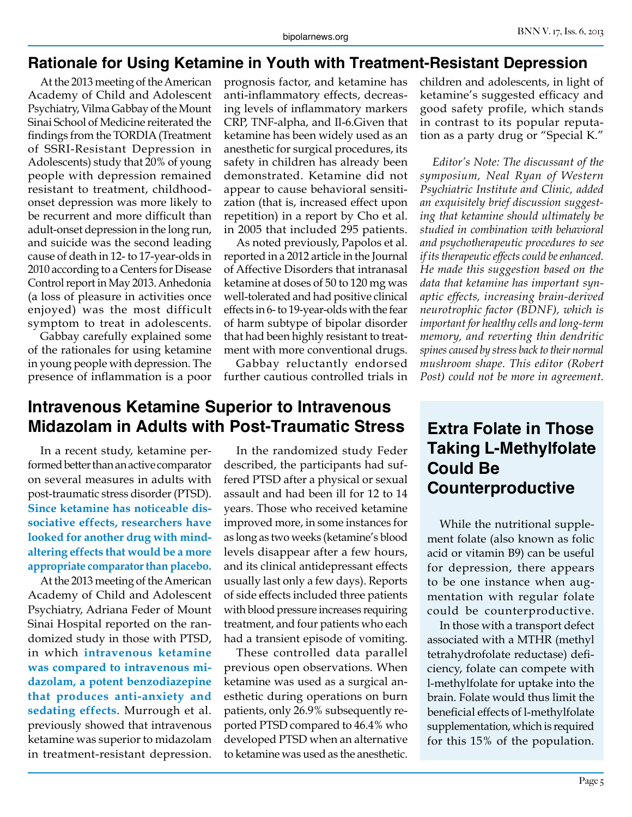#### **Rationale for Using Ketamine in Youth with Treatment-Resistant Depression**

At the 2013 meeting of the American Academy of Child and Adolescent Psychiatry, Vilma Gabbay of the Mount Sinai School of Medicine reiterated the findings from the TORDIA (Treatment of SSRI-Resistant Depression in Adolescents) study that 20% of young people with depression remained resistant to treatment, childhoodonset depression was more likely to be recurrent and more difficult than adult-onset depression in the long run, and suicide was the second leading cause of death in 12- to 17-year-olds in 2010 according to a Centers for Disease Control report in May 2013. Anhedonia (a loss of pleasure in activities once enjoyed) was the most difficult symptom to treat in adolescents.

Gabbay carefully explained some of the rationales for using ketamine in young people with depression. The presence of inflammation is a poor

prognosis factor, and ketamine has anti-inflammatory effects, decreasing levels of inflammatory markers CRP, TNF-alpha, and Il-6.Given that ketamine has been widely used as an anesthetic for surgical procedures, its safety in children has already been demonstrated. Ketamine did not appear to cause behavioral sensitization (that is, increased effect upon repetition) in a report by Cho et al. in 2005 that included 295 patients.

As noted previously, Papolos et al. reported in a 2012 article in the Journal of Affective Disorders that intranasal ketamine at doses of 50 to 120 mg was well-tolerated and had positive clinical effects in 6- to 19-year-olds with the fear of harm subtype of bipolar disorder that had been highly resistant to treatment with more conventional drugs.

Gabbay reluctantly endorsed further cautious controlled trials in

#### **Intravenous Ketamine Superior to Intravenous Midazolam in Adults with Post-Traumatic Stress**

In a recent study, ketamine performed better than an active comparator on several measures in adults with post-traumatic stress disorder (PTSD). **Since ketamine has noticeable dissociative effects, researchers have looked for another drug with mindaltering effects that would be a more appropriate comparator than placebo.**

At the 2013 meeting of the American Academy of Child and Adolescent Psychiatry, Adriana Feder of Mount Sinai Hospital reported on the randomized study in those with PTSD, in which **intravenous ketamine was compared to intravenous midazolam, a potent benzodiazepine that produces anti-anxiety and sedating effects**. Murrough et al. previously showed that intravenous ketamine was superior to midazolam in treatment-resistant depression.

In the randomized study Feder described, the participants had suffered PTSD after a physical or sexual assault and had been ill for 12 to 14 years. Those who received ketamine improved more, in some instances for as long as two weeks (ketamine's blood levels disappear after a few hours, and its clinical antidepressant effects usually last only a few days). Reports of side effects included three patients with blood pressure increases requiring treatment, and four patients who each had a transient episode of vomiting.

These controlled data parallel previous open observations. When ketamine was used as a surgical anesthetic during operations on burn patients, only 26.9% subsequently reported PTSD compared to 46.4% who developed PTSD when an alternative to ketamine was used as the anesthetic.

children and adolescents, in light of ketamine's suggested efficacy and good safety profile, which stands in contrast to its popular reputation as a party drug or "Special K."

*Editor's Note: The discussant of the symposium, Neal Ryan of Western Psychiatric Institute and Clinic, added an exquisitely brief discussion suggesting that ketamine should ultimately be studied in combination with behavioral and psychotherapeutic procedures to see if its therapeutic effects could be enhanced. He made this suggestion based on the data that ketamine has important synaptic effects, increasing brain-derived neurotrophic factor (BDNF), which is important for healthy cells and long-term memory, and reverting thin dendritic spines caused by stress back to their normal mushroom shape. This editor (Robert Post) could not be more in agreement.*

## **Extra Folate in Those Taking L-Methylfolate Could Be Counterproductive**

While the nutritional supplement folate (also known as folic acid or vitamin B9) can be useful for depression, there appears to be one instance when augmentation with regular folate could be counterproductive.

In those with a transport defect associated with a MTHR (methyl tetrahydrofolate reductase) deficiency, folate can compete with l-methylfolate for uptake into the brain. Folate would thus limit the beneficial effects of l-methylfolate supplementation, which is required for this 15% of the population.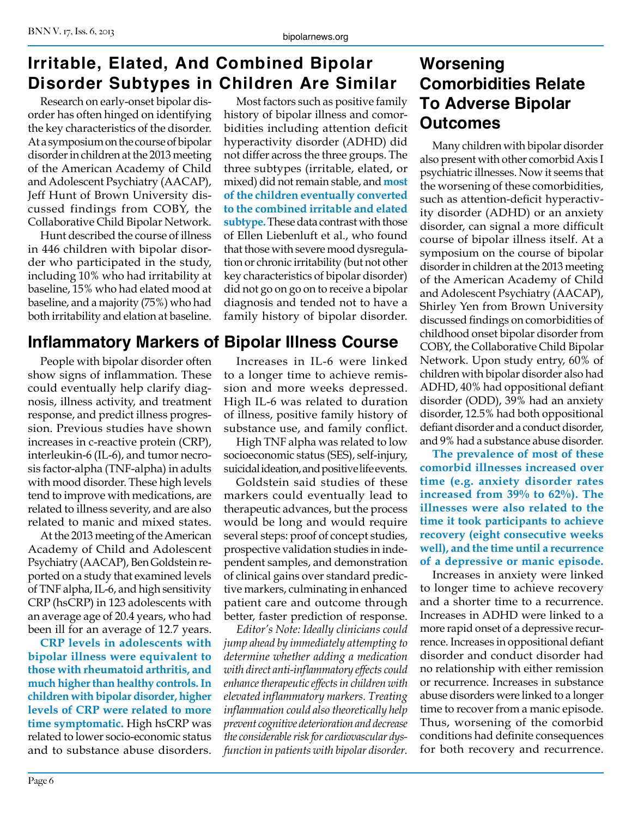# **Irritable, Elated, And Combined Bipolar Disorder Subtypes in Children Are Similar**

Research on early-onset bipolar disorder has often hinged on identifying the key characteristics of the disorder. At a symposium on the course of bipolar disorder in children at the 2013 meeting of the American Academy of Child and Adolescent Psychiatry (AACAP), Jeff Hunt of Brown University discussed findings from COBY, the Collaborative Child Bipolar Network.

Hunt described the course of illness in 446 children with bipolar disorder who participated in the study, including 10% who had irritability at baseline, 15% who had elated mood at baseline, and a majority (75%) who had both irritability and elation at baseline.

# **Inflammatory Markers of Bipolar Illness Course**

People with bipolar disorder often show signs of inflammation. These could eventually help clarify diagnosis, illness activity, and treatment response, and predict illness progression. Previous studies have shown increases in c-reactive protein (CRP), interleukin-6 (IL-6), and tumor necrosis factor-alpha (TNF-alpha) in adults with mood disorder. These high levels tend to improve with medications, are related to illness severity, and are also related to manic and mixed states.

At the 2013 meeting of the American Academy of Child and Adolescent Psychiatry (AACAP), Ben Goldstein reported on a study that examined levels of TNF alpha, IL-6, and high sensitivity CRP (hsCRP) in 123 adolescents with an average age of 20.4 years, who had been ill for an average of 12.7 years.

**CRP levels in adolescents with bipolar illness were equivalent to those with rheumatoid arthritis, and much higher than healthy controls. In children with bipolar disorder, higher levels of CRP were related to more time symptomatic.** High hsCRP was related to lower socio-economic status and to substance abuse disorders.

Most factors such as positive family history of bipolar illness and comorbidities including attention deficit hyperactivity disorder (ADHD) did not differ across the three groups. The three subtypes (irritable, elated, or mixed) did not remain stable, and **most of the children eventually converted to the combined irritable and elated subtype.** These data contrast with those of Ellen Liebenluft et al., who found that those with severe mood dysregulation or chronic irritability (but not other key characteristics of bipolar disorder) did not go on go on to receive a bipolar diagnosis and tended not to have a family history of bipolar disorder.

Increases in IL-6 were linked to a longer time to achieve remission and more weeks depressed. High IL-6 was related to duration of illness, positive family history of substance use, and family conflict.

High TNF alpha was related to low socioeconomic status (SES), self-injury, suicidal ideation, and positive life events.

Goldstein said studies of these markers could eventually lead to therapeutic advances, but the process would be long and would require several steps: proof of concept studies, prospective validation studies in independent samples, and demonstration of clinical gains over standard predictive markers, culminating in enhanced patient care and outcome through better, faster prediction of response.

*Editor's Note: Ideally clinicians could jump ahead by immediately attempting to determine whether adding a medication with direct anti-inflammatory effects could enhance therapeutic effects in children with elevated inflammatory markers. Treating inflammation could also theoretically help prevent cognitive deterioration and decrease the considerable risk for cardiovascular dysfunction in patients with bipolar disorder.*

# **Worsening Comorbidities Relate To Adverse Bipolar Outcomes**

Many children with bipolar disorder also present with other comorbid Axis I psychiatric illnesses. Now it seems that the worsening of these comorbidities, such as attention-deficit hyperactivity disorder (ADHD) or an anxiety disorder, can signal a more difficult course of bipolar illness itself. At a symposium on the course of bipolar disorder in children at the 2013 meeting of the American Academy of Child and Adolescent Psychiatry (AACAP), Shirley Yen from Brown University discussed findings on comorbidities of childhood onset bipolar disorder from COBY, the Collaborative Child Bipolar Network. Upon study entry, 60% of children with bipolar disorder also had ADHD, 40% had oppositional defiant disorder (ODD), 39% had an anxiety disorder, 12.5% had both oppositional defiant disorder and a conduct disorder, and 9% had a substance abuse disorder.

**The prevalence of most of these comorbid illnesses increased over time (e.g. anxiety disorder rates increased from 39% to 62%). The illnesses were also related to the time it took participants to achieve recovery (eight consecutive weeks well), and the time until a recurrence of a depressive or manic episode.**

Increases in anxiety were linked to longer time to achieve recovery and a shorter time to a recurrence. Increases in ADHD were linked to a more rapid onset of a depressive recurrence. Increases in oppositional defiant disorder and conduct disorder had no relationship with either remission or recurrence. Increases in substance abuse disorders were linked to a longer time to recover from a manic episode. Thus, worsening of the comorbid conditions had definite consequences for both recovery and recurrence.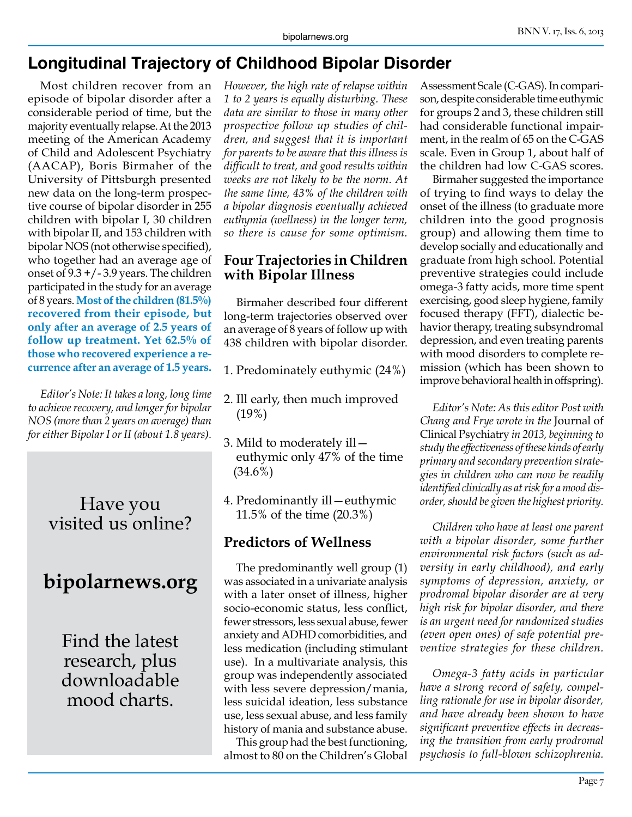# **Longitudinal Trajectory of Childhood Bipolar Disorder**

Most children recover from an episode of bipolar disorder after a considerable period of time, but the majority eventually relapse. At the 2013 meeting of the American Academy of Child and Adolescent Psychiatry (AACAP), Boris Birmaher of the University of Pittsburgh presented new data on the long-term prospective course of bipolar disorder in 255 children with bipolar I, 30 children with bipolar II, and 153 children with bipolar NOS (not otherwise specified), who together had an average age of onset of  $9.3 + (-3.9)$  years. The children participated in the study for an average of 8 years. **Most of the children (81.5%) recovered from their episode, but only after an average of 2.5 years of follow up treatment. Yet 62.5% of those who recovered experience a recurrence after an average of 1.5 years.**

*Editor's Note: It takes a long, long time to achieve recovery, and longer for bipolar NOS (more than 2 years on average) than for either Bipolar I or II (about 1.8 years).* 

# Have you visited us online?

# **bipolarnews.org**

Find the latest research, plus downloadable mood charts.

*However, the high rate of relapse within 1 to 2 years is equally disturbing. These data are similar to those in many other prospective follow up studies of children, and suggest that it is important for parents to be aware that this illness is difficult to treat, and good results within weeks are not likely to be the norm. At the same time, 43% of the children with a bipolar diagnosis eventually achieved euthymia (wellness) in the longer term, so there is cause for some optimism.*

#### **Four Trajectories in Children with Bipolar Illness**

Birmaher described four different long-term trajectories observed over an average of 8 years of follow up with 438 children with bipolar disorder.

- 1. Predominately euthymic (24%)
- 2. Ill early, then much improved (19%)
- 3. Mild to moderately ill euthymic only 47% of the time (34.6%)
- 4. Predominantly ill—euthymic 11.5% of the time (20.3%)

#### **Predictors of Wellness**

The predominantly well group (1) was associated in a univariate analysis with a later onset of illness, higher socio-economic status, less conflict, fewer stressors, less sexual abuse, fewer anxiety and ADHD comorbidities, and less medication (including stimulant use). In a multivariate analysis, this group was independently associated with less severe depression/mania, less suicidal ideation, less substance use, less sexual abuse, and less family history of mania and substance abuse.

This group had the best functioning, almost to 80 on the Children's Global Assessment Scale (C-GAS). In comparison, despite considerable time euthymic for groups 2 and 3, these children still had considerable functional impairment, in the realm of 65 on the C-GAS scale. Even in Group 1, about half of the children had low C-GAS scores.

Birmaher suggested the importance of trying to find ways to delay the onset of the illness (to graduate more children into the good prognosis group) and allowing them time to develop socially and educationally and graduate from high school. Potential preventive strategies could include omega-3 fatty acids, more time spent exercising, good sleep hygiene, family focused therapy (FFT), dialectic behavior therapy, treating subsyndromal depression, and even treating parents with mood disorders to complete remission (which has been shown to improve behavioral health in offspring).

*Editor's Note: As this editor Post with Chang and Frye wrote in the* Journal of Clinical Psychiatry *in 2013, beginning to study the effectiveness of these kinds of early primary and secondary prevention strategies in children who can now be readily identified clinically as at risk for a mood disorder, should be given the highest priority.* 

*Children who have at least one parent with a bipolar disorder, some further environmental risk factors (such as adversity in early childhood), and early symptoms of depression, anxiety, or prodromal bipolar disorder are at very high risk for bipolar disorder, and there is an urgent need for randomized studies (even open ones) of safe potential preventive strategies for these children.* 

*Omega-3 fatty acids in particular have a strong record of safety, compelling rationale for use in bipolar disorder, and have already been shown to have significant preventive effects in decreasing the transition from early prodromal psychosis to full-blown schizophrenia.*